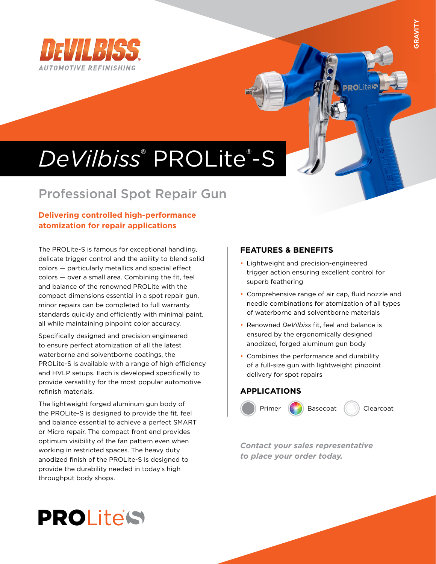

# *DeVilbiss*® PROLite® -S

## Professional Spot Repair Gun

### **Delivering controlled high-performance atomization for repair applications**

The PROLite-S is famous for exceptional handling, delicate trigger control and the ability to blend solid colors — particularly metallics and special effect colors — over a small area. Combining the fit, feel and balance of the renowned PROLite with the compact dimensions essential in a spot repair gun, minor repairs can be completed to full warranty standards quickly and efficiently with minimal paint, all while maintaining pinpoint color accuracy.

Specifically designed and precision engineered to ensure perfect atomization of all the latest waterborne and solventborne coatings, the PROLite-S is available with a range of high efficiency and HVLP setups. Each is developed specifically to provide versatility for the most popular automotive refinish materials.

The lightweight forged aluminum gun body of the PROLite-S is designed to provide the fit, feel and balance essential to achieve a perfect SMART or Micro repair. The compact front end provides optimum visibility of the fan pattern even when working in restricted spaces. The heavy duty anodized finish of the PROLite-S is designed to provide the durability needed in today's high throughput body shops.

### **FEATURES & BENEFITS**

- Lightweight and precision-engineered trigger action ensuring excellent control for superb feathering
- Comprehensive range of air cap, fluid nozzle and needle combinations for atomization of all types of waterborne and solventborne materials
- Renowned *DeVilbiss* fit, feel and balance is ensured by the ergonomically designed anodized, forged aluminum gun body
- Combines the performance and durability of a full-size gun with lightweight pinpoint delivery for spot repairs

### **APPLICATIONS**



*Contact your sales representative to place your order today.*

# PROLite'S

**PROLite**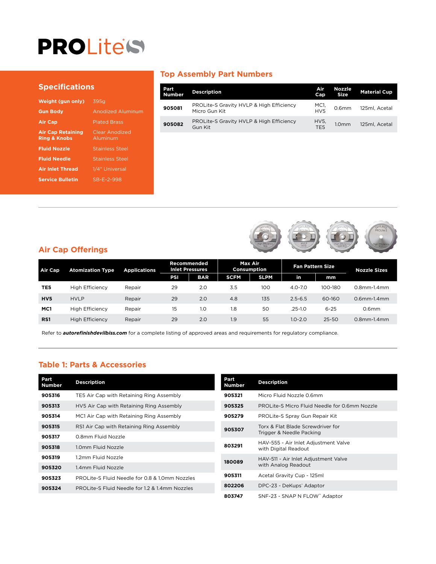# PROLite's

#### **Specifications**

| Weight (gun only)                                   | 395a                       |
|-----------------------------------------------------|----------------------------|
| <b>Gun Body</b>                                     | <b>Anodized Aluminum</b>   |
| <b>Air Cap</b>                                      | <b>Plated Brass</b>        |
| <b>Air Cap Retaining</b><br><b>Ring &amp; Knobs</b> | Clear Anodized<br>Aluminum |
| <b>Fluid Nozzle</b>                                 | <b>Stainless Steel</b>     |
| <b>Fluid Needle</b>                                 | <b>Stainless Steel</b>     |
| <b>Air Inlet Thread</b>                             | 1/4" Universal             |
| <b>Service Bulletin</b>                             | SB-E-2-998                 |
|                                                     |                            |

#### **Top Assembly Part Numbers**

| Part<br><b>Number</b> | <b>Description</b>                                        | Air<br>Cap              | <b>Nozzle</b><br><b>Size</b> | <b>Material Cup</b> |
|-----------------------|-----------------------------------------------------------|-------------------------|------------------------------|---------------------|
| 905081                | PROLite-S Gravity HVLP & High Efficiency<br>Micro Gun Kit | MC1,<br>HVS             | 0.6 <sub>mm</sub>            | 125ml, Acetal       |
| 905082                | PROLite-S Gravity HVLP & High Efficiency<br>Gun Kit       | HV5.<br>TE <sub>5</sub> | 1.0 <sub>mm</sub>            | 125ml. Acetal       |



| Air Cap         | <b>Atomization Type</b> | <b>Applications</b> | Recommended<br><b>Inlet Pressures</b> |            | Max Air<br>Consumption |             | <b>Fan Pattern Size</b> |          | <b>Nozzle Sizes</b> |
|-----------------|-------------------------|---------------------|---------------------------------------|------------|------------------------|-------------|-------------------------|----------|---------------------|
|                 |                         |                     | PSI                                   | <b>BAR</b> | <b>SCFM</b>            | <b>SLPM</b> | in                      | mm       |                     |
| TE5             | <b>High Efficiency</b>  | Repair              | 29                                    | 2.0        | 3.5                    | 100         | $4.0 - 7.0$             | 100-180  | $0.8$ mm- $1.4$ mm  |
| HV <sub>5</sub> | <b>HVLP</b>             | Repair              | 29                                    | 2.0        | 4.8                    | 135         | $2.5 - 6.5$             | 60-160   | $0.6$ mm- $1.4$ mm  |
| MC1             | <b>High Efficiency</b>  | Repair              | 15                                    | 1.0        | 1.8                    | 50          | $.25 - 1.0$             | $6 - 25$ | 0.6 <sub>mm</sub>   |
| RS1             | <b>High Efficiency</b>  | Repair              | 29                                    | 2.0        | 1.9                    | 55          | $1.0 - 2.0$             | 25-50    | $0.8$ mm- $1.4$ mm  |

Refer to *autorefinishdevilbiss.com* for a complete listing of approved areas and requirements for regulatory compliance.

### **Table 1: Parts & Accessories**

| Part<br><b>Number</b> | <b>Description</b>                             | Part<br><b>Number</b> | <b>Description</b>                                           |
|-----------------------|------------------------------------------------|-----------------------|--------------------------------------------------------------|
| 905316                | TE5 Air Cap with Retaining Ring Assembly       | 905321                | Micro Fluid Nozzle 0.6mm                                     |
| 905313                | HV5 Air Cap with Retaining Ring Assembly       | 905325                | PROLite-S Micro Fluid Needle for 0.6mm Nozzle                |
| 905314                | MC1 Air Cap with Retaining Ring Assembly       | 905279                | PROLite-S Spray Gun Repair Kit                               |
| 905315                | RS1 Air Cap with Retaining Ring Assembly       | 905307                | Torx & Flat Blade Screwdriver for                            |
| 905317                | 0.8mm Fluid Nozzle                             |                       | Trigger & Needle Packing                                     |
| 905318                | 1.0mm Fluid Nozzle                             | 803291                | HAV-555 - Air Inlet Adjustment Valve<br>with Digital Readout |
| 905319                | 1.2mm Fluid Nozzle                             | 180089                | HAV-511 - Air Inlet Adjustment Valve                         |
| 905320                | 1.4mm Fluid Nozzle                             |                       | with Analog Readout                                          |
| 905323                | PROLite-S Fluid Needle for 0.8 & 1.0mm Nozzles | 905311                | Acetal Gravity Cup - 125ml                                   |
| 905324                | PROLite-S Fluid Needle for 1.2 & 1.4mm Nozzles | 802206                | DPC-23 - DeKups <sup>®</sup> Adaptor                         |
|                       |                                                | 803747                | SNF-23 - SNAP N FLOW" Adaptor                                |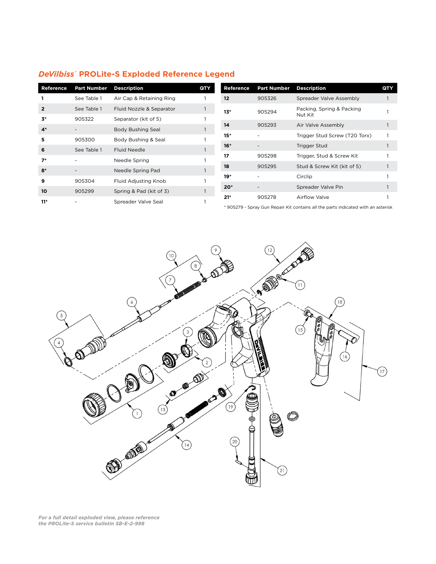| DeVilbiss® PROLite-S Exploded Reference Legend |  |  |
|------------------------------------------------|--|--|
|                                                |  |  |

| Reference | <b>Part Number</b> | <b>Description</b>       | QTY | Reference | <b>Part Number</b>       | <b>Description</b>            | QTY |
|-----------|--------------------|--------------------------|-----|-----------|--------------------------|-------------------------------|-----|
|           | See Table 1        | Air Cap & Retaining Ring |     | 12        | 905326                   | Spreader Valve Assembly       |     |
|           | See Table 1        | Fluid Nozzle & Separator |     | $13*$     | 905294                   | Packing, Spring & Packing     |     |
| 3*        | 905322             | Separator (kit of 5)     |     |           |                          | Nut Kit                       |     |
| $4*$      |                    | Body Bushing Seal        |     | 14        | 905293                   | Air Valve Assembly            |     |
| 5         | 905300             | Body Bushing & Seal      |     | $15*$     |                          | Trigger Stud Screw (T20 Torx) |     |
|           |                    |                          |     | $16*$     |                          | Trigger Stud                  |     |
| 6         | See Table 1        | <b>Fluid Needle</b>      |     | 17        | 905298                   | Trigger, Stud & Screw Kit     |     |
| $7*$      |                    | Needle Spring            |     |           |                          |                               |     |
| $8*$      |                    | Needle Spring Pad        |     | 18        | 905295                   | Stud & Screw Kit (kit of 5)   |     |
| 9         |                    |                          |     | $19*$     | $\overline{\phantom{a}}$ | Circlip                       |     |
|           | 905304             | Fluid Adjusting Knob     |     | $20*$     |                          | Spreader Valve Pin            |     |
| 10        | 905299             | Spring & Pad (kit of 3)  |     |           |                          |                               |     |
| $11*$     |                    | Spreader Valve Seal      |     | $21*$     | 905278                   | Airflow Valve                 |     |

\* 905279 - Spray Gun Repair Kit contains all the parts indicated with an asterisk



*For a full detail exploded view, please reference the PROLite-S service bulletin SB-E-2-998*